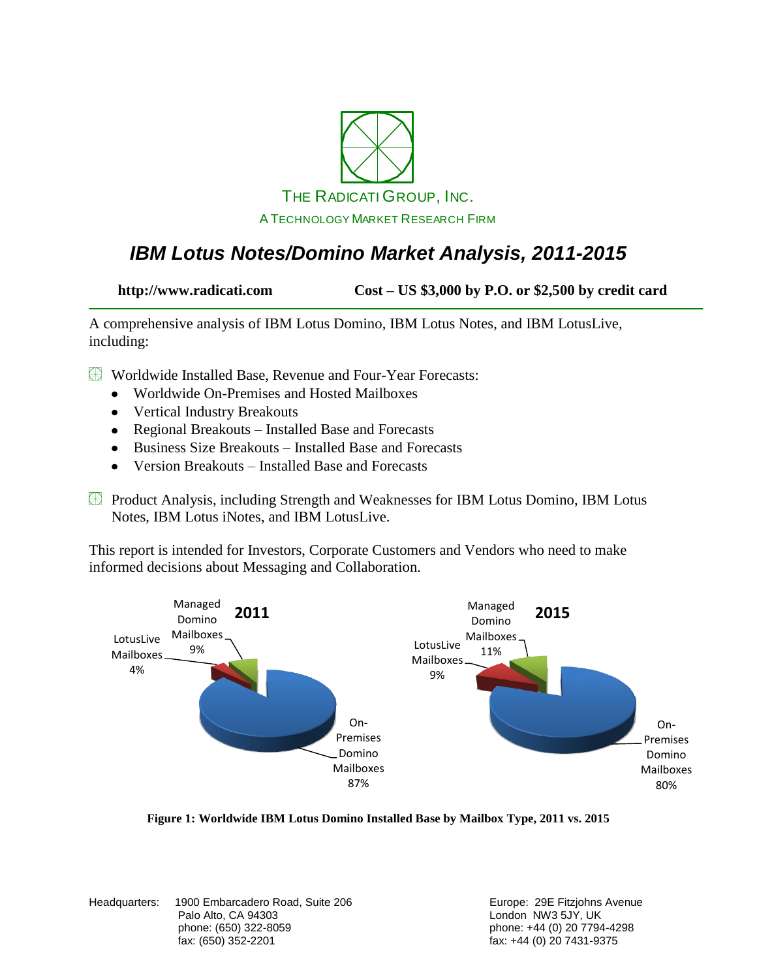

### *IBM Lotus Notes/Domino Market Analysis, 2011-2015*

**http://www.radicati.com Cost – US \$3,000 by P.O. or \$2,500 by credit card**

A comprehensive analysis of IBM Lotus Domino, IBM Lotus Notes, and IBM LotusLive, including:

Worldwide Installed Base, Revenue and Four-Year Forecasts:

- Worldwide On-Premises and Hosted Mailboxes
- Vertical Industry Breakouts
- Regional Breakouts Installed Base and Forecasts
- Business Size Breakouts Installed Base and Forecasts
- Version Breakouts Installed Base and Forecasts
- Product Analysis, including Strength and Weaknesses for IBM Lotus Domino, IBM Lotus Notes, IBM Lotus iNotes, and IBM LotusLive.

This report is intended for Investors, Corporate Customers and Vendors who need to make informed decisions about Messaging and Collaboration.



**Figure 1: Worldwide IBM Lotus Domino Installed Base by Mailbox Type, 2011 vs. 2015**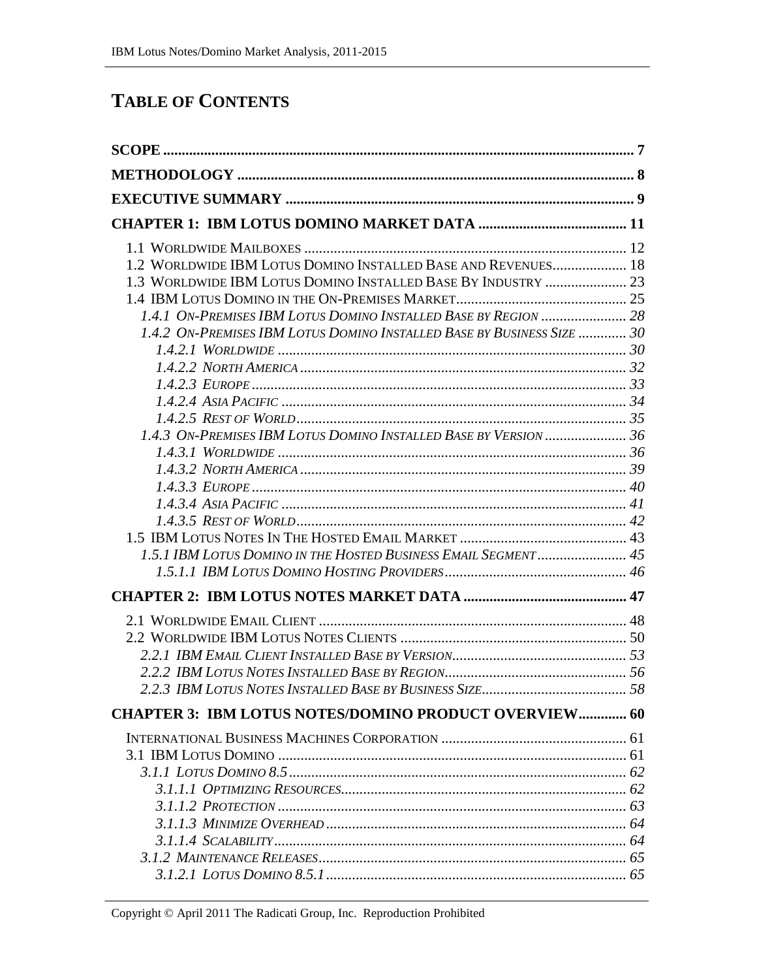### **TABLE OF CONTENTS**

| 1.2 WORLDWIDE IBM LOTUS DOMINO INSTALLED BASE AND REVENUES 18          |  |
|------------------------------------------------------------------------|--|
| 1.3 WORLDWIDE IBM LOTUS DOMINO INSTALLED BASE BY INDUSTRY  23          |  |
|                                                                        |  |
| 1.4.1 ON-PREMISES IBM LOTUS DOMINO INSTALLED BASE BY REGION  28        |  |
| 1.4.2 ON-PREMISES IBM LOTUS DOMINO INSTALLED BASE BY BUSINESS SIZE  30 |  |
|                                                                        |  |
|                                                                        |  |
|                                                                        |  |
|                                                                        |  |
|                                                                        |  |
|                                                                        |  |
|                                                                        |  |
|                                                                        |  |
|                                                                        |  |
|                                                                        |  |
|                                                                        |  |
| 1.5.1 IBM LOTUS DOMINO IN THE HOSTED BUSINESS EMAIL SEGMENT  45        |  |
|                                                                        |  |
|                                                                        |  |
|                                                                        |  |
|                                                                        |  |
|                                                                        |  |
|                                                                        |  |
|                                                                        |  |
| <b>CHAPTER 3: IBM LOTUS NOTES/DOMINO PRODUCT OVERVIEW 60</b>           |  |
|                                                                        |  |
|                                                                        |  |
|                                                                        |  |
|                                                                        |  |
|                                                                        |  |
|                                                                        |  |
|                                                                        |  |
|                                                                        |  |
|                                                                        |  |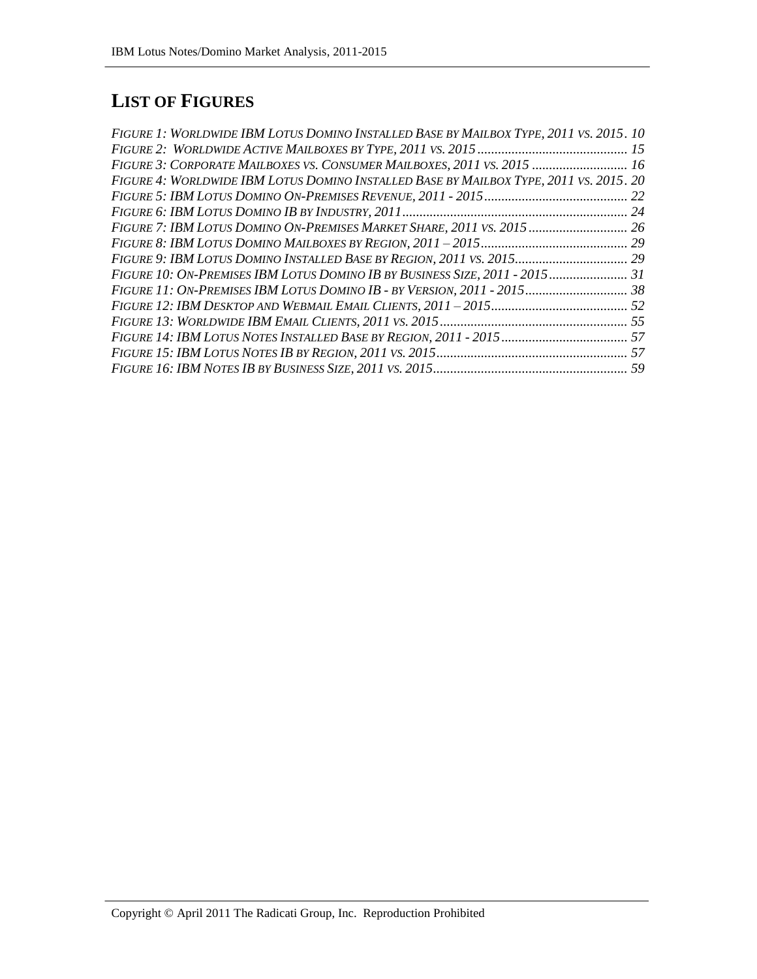# **LIST OF FIGURES**

| FIGURE 1: WORLDWIDE IBM LOTUS DOMINO INSTALLED BASE BY MAILBOX TYPE, 2011 VS. 2015. 10 |  |
|----------------------------------------------------------------------------------------|--|
|                                                                                        |  |
| FIGURE 3: CORPORATE MAILBOXES VS. CONSUMER MAILBOXES, 2011 VS. 2015  16                |  |
| FIGURE 4: WORLDWIDE IBM LOTUS DOMINO INSTALLED BASE BY MAILBOX TYPE, 2011 VS. 2015. 20 |  |
|                                                                                        |  |
|                                                                                        |  |
| FIGURE 7: IBM LOTUS DOMINO ON-PREMISES MARKET SHARE, 2011 VS. 2015  26                 |  |
|                                                                                        |  |
|                                                                                        |  |
| FIGURE 10: ON-PREMISES IBM LOTUS DOMINO IB BY BUSINESS SIZE, 2011 - 2015 31            |  |
|                                                                                        |  |
|                                                                                        |  |
|                                                                                        |  |
| FIGURE 14: IBM LOTUS NOTES INSTALLED BASE BY REGION, 2011 - 2015  57                   |  |
|                                                                                        |  |
|                                                                                        |  |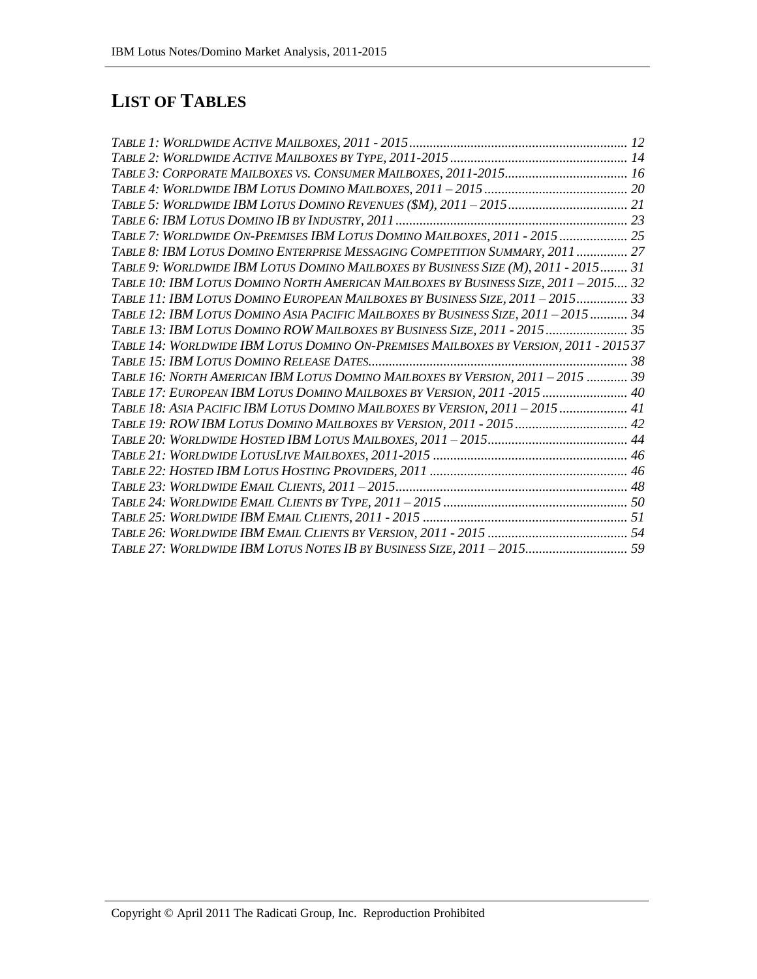## **LIST OF TABLES**

| TABLE 7: WORLDWIDE ON-PREMISES IBM LOTUS DOMINO MAILBOXES, 2011 - 2015 25            |  |
|--------------------------------------------------------------------------------------|--|
| TABLE 8: IBM LOTUS DOMINO ENTERPRISE MESSAGING COMPETITION SUMMARY, 2011  27         |  |
| TABLE 9: WORLDWIDE IBM LOTUS DOMINO MAILBOXES BY BUSINESS SIZE (M), 2011 - 2015 31   |  |
| TABLE 10: IBM LOTUS DOMINO NORTH AMERICAN MAILBOXES BY BUSINESS SIZE, 2011 - 2015 32 |  |
| TABLE 11: IBM LOTUS DOMINO EUROPEAN MAILBOXES BY BUSINESS SIZE, 2011 - 2015 33       |  |
| TABLE 12: IBM LOTUS DOMINO ASIA PACIFIC MAILBOXES BY BUSINESS SIZE, 2011 - 2015  34  |  |
| TABLE 13: IBM LOTUS DOMINO ROW MAILBOXES BY BUSINESS SIZE, 2011 - 2015 35            |  |
| TABLE 14: WORLDWIDE IBM LOTUS DOMINO ON-PREMISES MAILBOXES BY VERSION, 2011 - 201537 |  |
|                                                                                      |  |
| TABLE 16: NORTH AMERICAN IBM LOTUS DOMINO MAILBOXES BY VERSION, 2011 - 2015  39      |  |
| TABLE 17: EUROPEAN IBM LOTUS DOMINO MAILBOXES BY VERSION, 2011 -2015  40             |  |
| TABLE 18: ASIA PACIFIC IBM LOTUS DOMINO MAILBOXES BY VERSION, 2011 - 2015  41        |  |
| TABLE 19: ROW IBM LOTUS DOMINO MAILBOXES BY VERSION, 2011 - 2015 42                  |  |
|                                                                                      |  |
|                                                                                      |  |
|                                                                                      |  |
|                                                                                      |  |
|                                                                                      |  |
|                                                                                      |  |
|                                                                                      |  |
| TABLE 27: WORLDWIDE IBM LOTUS NOTES IB BY BUSINESS SIZE, 2011 - 2015 59              |  |